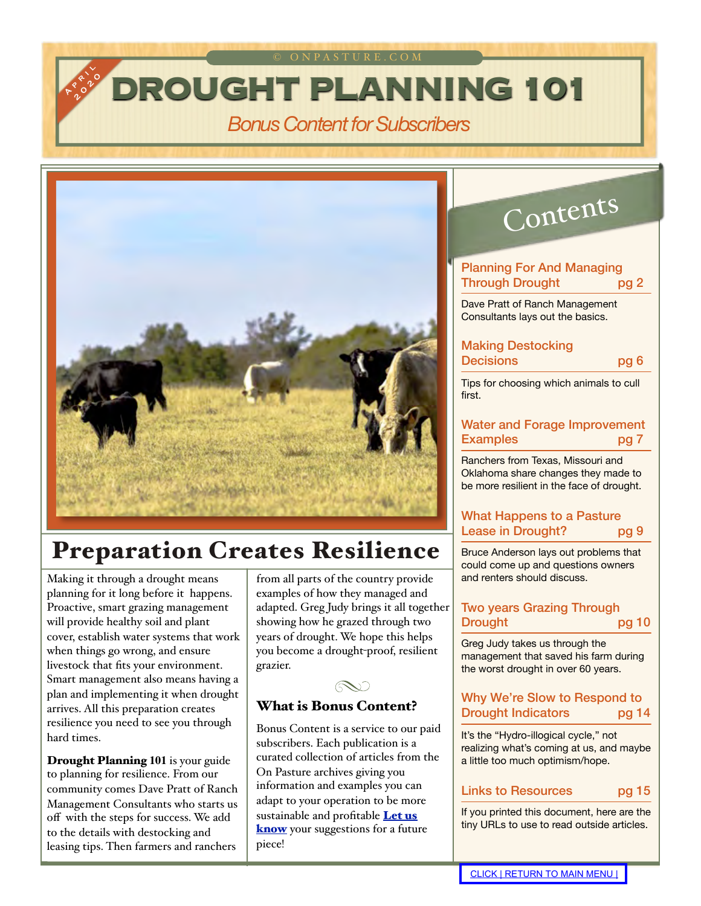© ONPASTURE.COM

# *Bonus Content for Subscribers*



# Preparation Creates Resilience

Making it through a drought means planning for it long before it happens. Proactive, smart grazing management will provide healthy soil and plant cover, establish water systems that work when things go wrong, and ensure livestock that fits your environment. Smart management also means having a plan and implementing it when drought arrives. All this preparation creates resilience you need to see you through hard times.

<span id="page-0-0"></span>A P I L R R D O

Drought Planning **101** is your guide to planning for resilience. From our community comes Dave Pratt of Ranch Management Consultants who starts us off with the steps for success. We add to the details with destocking and leasing tips. Then farmers and ranchers

from all parts of the country provide examples of how they managed and adapted. Greg Judy brings it all together showing how he grazed through two years of drought. We hope this helps you become a drought-proof, resilient grazier.



### What is Bonus Content?

Bonus Content is a service to our paid subscribers. Each publication is a curated collection of articles from the On Pasture archives giving you information and examples you can adapt to your operation to be more sustainable and profitable Let us [know](mailto:kathy@onpasture.com?subject=Bonus%20Content%20Suggestion) your suggestions for a future piece!

# Contents

#### [Planning For And Managing](#page-1-0)  Through Drought pg 2

Dave Pratt of Ranch Management Consultants lays out the basics.

#### [Making Destocking](#page-5-0)  Decisions pg 6

Tips for choosing which animals to cull first.

### [Water and Forage Improvement](#page-6-0)  Examples pg 7

Ranchers from Texas, Missouri and Oklahoma share changes they made to be more resilient in the face of drought.

### [What Happens to a Pasture](#page-8-0)  Lease in Drought? pg 9

Bruce Anderson lays out problems that could come up and questions owners and renters should discuss.

### [Two years Grazing Through](#page-9-0)  Drought pg 10

Greg Judy takes us through the management that saved his farm during the worst drought in over 60 years.

#### [Why We're Slow to Respond to](#page-13-0)  Drought Indicators pg 14

It's the "Hydro-illogical cycle," not realizing what's coming at us, and maybe a little too much optimism/hope.

#### [Links to Resources](#page-14-0) pg 15

If you printed this document, here are the tiny URLs to use to read outside articles.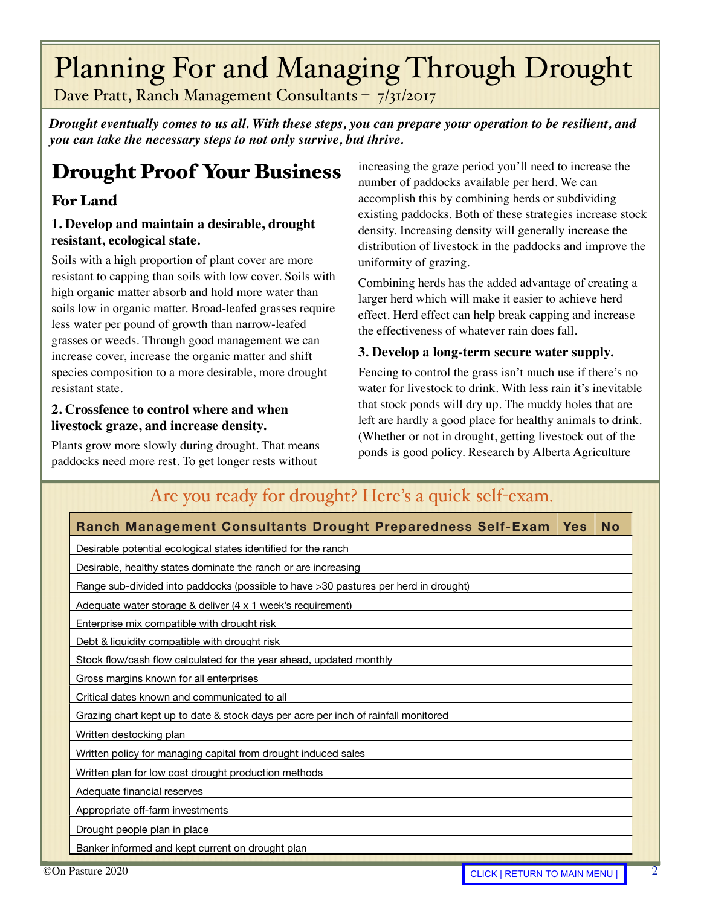# <span id="page-1-0"></span>Planning For and Managing Through Drought

Dave Pratt, Ranch Management Consultants – 7/31/2017

*Drought eventually comes to us all. With these steps, you can prepare your operation to be resilient, and you can take the necessary steps to not only survive, but thrive.*

# Drought Proof Your Business

### For Land

### **1. Develop and maintain a desirable, drought resistant, ecological state.**

Soils with a high proportion of plant cover are more resistant to capping than soils with low cover. Soils with high organic matter absorb and hold more water than soils low in organic matter. Broad-leafed grasses require less water per pound of growth than narrow-leafed grasses or weeds. Through good management we can increase cover, increase the organic matter and shift species composition to a more desirable, more drought resistant state.

### **2. Crossfence to control where and when livestock graze, and increase density.**

Plants grow more slowly during drought. That means paddocks need more rest. To get longer rests without

increasing the graze period you'll need to increase the number of paddocks available per herd. We can accomplish this by combining herds or subdividing existing paddocks. Both of these strategies increase stock density. Increasing density will generally increase the distribution of livestock in the paddocks and improve the uniformity of grazing.

Combining herds has the added advantage of creating a larger herd which will make it easier to achieve herd effect. Herd effect can help break capping and increase the effectiveness of whatever rain does fall.

### **3. Develop a long-term secure water supply.**

Fencing to control the grass isn't much use if there's no water for livestock to drink. With less rain it's inevitable that stock ponds will dry up. The muddy holes that are left are hardly a good place for healthy animals to drink. (Whether or not in drought, getting livestock out of the ponds is good policy. Research by Alberta Agriculture

| Ranch Management Consultants Drought Preparedness Self-Exam                         | <b>Yes</b> | <b>No</b> |
|-------------------------------------------------------------------------------------|------------|-----------|
| Desirable potential ecological states identified for the ranch                      |            |           |
| Desirable, healthy states dominate the ranch or are increasing                      |            |           |
| Range sub-divided into paddocks (possible to have >30 pastures per herd in drought) |            |           |
| Adequate water storage & deliver (4 x 1 week's requirement)                         |            |           |
| Enterprise mix compatible with drought risk                                         |            |           |
| Debt & liquidity compatible with drought risk                                       |            |           |
| Stock flow/cash flow calculated for the year ahead, updated monthly                 |            |           |
| Gross margins known for all enterprises                                             |            |           |
| Critical dates known and communicated to all                                        |            |           |
| Grazing chart kept up to date & stock days per acre per inch of rainfall monitored  |            |           |
| Written destocking plan                                                             |            |           |
| Written policy for managing capital from drought induced sales                      |            |           |
| Written plan for low cost drought production methods                                |            |           |
| Adequate financial reserves                                                         |            |           |
| Appropriate off-farm investments                                                    |            |           |
| Drought people plan in place                                                        |            |           |
| Banker informed and kept current on drought plan                                    |            |           |

### Are you ready for drought? Here's a quick self-exam.

[2](http://livepage.apple.com/)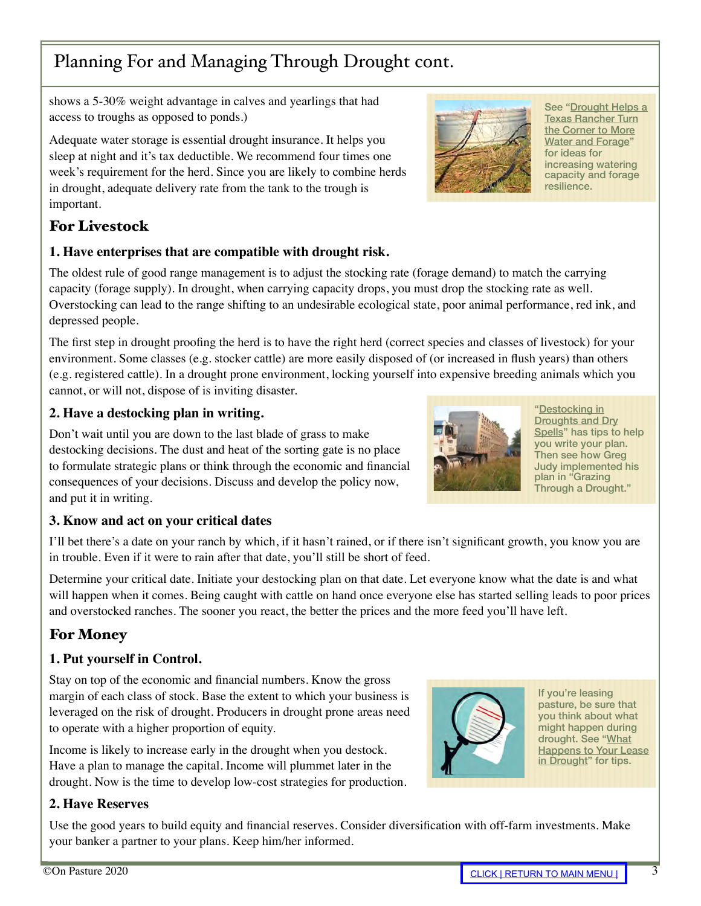## Planning For and Managing Through Drought cont.

shows a 5-30% weight advantage in calves and yearlings that had access to troughs as opposed to ponds.)

Adequate water storage is essential drought insurance. It helps you sleep at night and it's tax deductible. We recommend four times one week's requirement for the herd. Since you are likely to combine herds in drought, adequate delivery rate from the tank to the trough is important.

### For Livestock

### **1. Have enterprises that are compatible with drought risk.**

The oldest rule of good range management is to adjust the stocking rate (forage demand) to match the carrying capacity (forage supply). In drought, when carrying capacity drops, you must drop the stocking rate as well. Overstocking can lead to the range shifting to an undesirable ecological state, poor animal performance, red ink, and depressed people.

The first step in drought proofing the herd is to have the right herd (correct species and classes of livestock) for your environment. Some classes (e.g. stocker cattle) are more easily disposed of (or increased in flush years) than others (e.g. registered cattle). In a drought prone environment, locking yourself into expensive breeding animals which you cannot, or will not, dispose of is inviting disaster.

### **2. Have a destocking plan in writing.**

Don't wait until you are down to the last blade of grass to make destocking decisions. The dust and heat of the sorting gate is no place to formulate strategic plans or think through the economic and financial consequences of your decisions. Discuss and develop the policy now, and put it in writing.

### **3. Know and act on your critical dates**

I'll bet there's a date on your ranch by which, if it hasn't rained, or if there isn't significant growth, you know you are in trouble. Even if it were to rain after that date, you'll still be short of feed.

Determine your critical date. Initiate your destocking plan on that date. Let everyone know what the date is and what will happen when it comes. Being caught with cattle on hand once everyone else has started selling leads to poor prices and overstocked ranches. The sooner you react, the better the prices and the more feed you'll have left.

## For Money

### **1. Put yourself in Control.**

Stay on top of the economic and financial numbers. Know the gross margin of each class of stock. Base the extent to which your business is leveraged on the risk of drought. Producers in drought prone areas need to operate with a higher proportion of equity.

Income is likely to increase early in the drought when you destock. Have a plan to manage the capital. Income will plummet later in the drought. Now is the time to develop low-cost strategies for production.

### **2. Have Reserves**

Use the good years to build equity and financial reserves. Consider diversification with off-farm investments. Make your banker a partner to your plans. Keep him/her informed.



resilience.

See "Drought Helps a [Texas Rancher Turn](#page-6-0)  the Corner to More Water and Forage" for ideas for increasing watering capacity and forage

"Destocking in Droughts and Dry [Spells" has tips to](#page-5-0) help you write your plan. Then see how Greg Judy implemented his plan in "Grazing [Through a Drought."](#page-9-0)







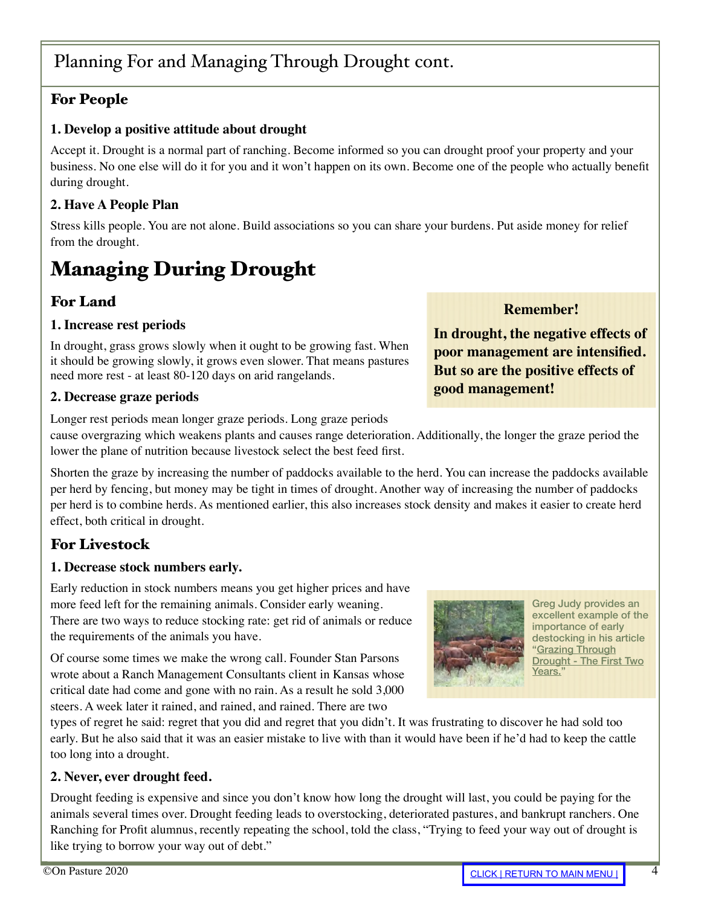### For People

### **1. Develop a positive attitude about drought**

Accept it. Drought is a normal part of ranching. Become informed so you can drought proof your property and your business. No one else will do it for you and it won't happen on its own. Become one of the people who actually benefit during drought.

### **2. Have A People Plan**

Stress kills people. You are not alone. Build associations so you can share your burdens. Put aside money for relief from the drought.

# Managing During Drought

### For Land

### **1. Increase rest periods**

In drought, grass grows slowly when it ought to be growing fast. When it should be growing slowly, it grows even slower. That means pastures need more rest - at least 80-120 days on arid rangelands.

### **2. Decrease graze periods**

Longer rest periods mean longer graze periods. Long graze periods

cause overgrazing which weakens plants and causes range deterioration. Additionally, the longer the graze period the lower the plane of nutrition because livestock select the best feed first.

Shorten the graze by increasing the number of paddocks available to the herd. You can increase the paddocks available per herd by fencing, but money may be tight in times of drought. Another way of increasing the number of paddocks per herd is to combine herds. As mentioned earlier, this also increases stock density and makes it easier to create herd effect, both critical in drought.

### For Livestock

### **1. Decrease stock numbers early.**

Early reduction in stock numbers means you get higher prices and have more feed left for the remaining animals. Consider early weaning. There are two ways to reduce stocking rate: get rid of animals or reduce the requirements of the animals you have.

Of course some times we make the wrong call. Founder Stan Parsons wrote about a Ranch Management Consultants client in Kansas whose critical date had come and gone with no rain. As a result he sold 3,000 steers. A week later it rained, and rained, and rained. There are two

types of regret he said: regret that you did and regret that you didn't. It was frustrating to discover he had sold too early. But he also said that it was an easier mistake to live with than it would have been if he'd had to keep the cattle too long into a drought.

### **2. Never, ever drought feed.**

Drought feeding is expensive and since you don't know how long the drought will last, you could be paying for the animals several times over. Drought feeding leads to overstocking, deteriorated pastures, and bankrupt ranchers. One Ranching for Profit alumnus, recently repeating the school, told the class, "Trying to feed your way out of drought is like trying to borrow your way out of debt."

### **Remember!**

**In drought, the negative effects of poor management are intensified. But so are the positive effects of good management!**



Greg Judy provides an excellent example of the importance of early destocking in his article "Grazing Through [Drought - The First Two](#page-9-0)  Years.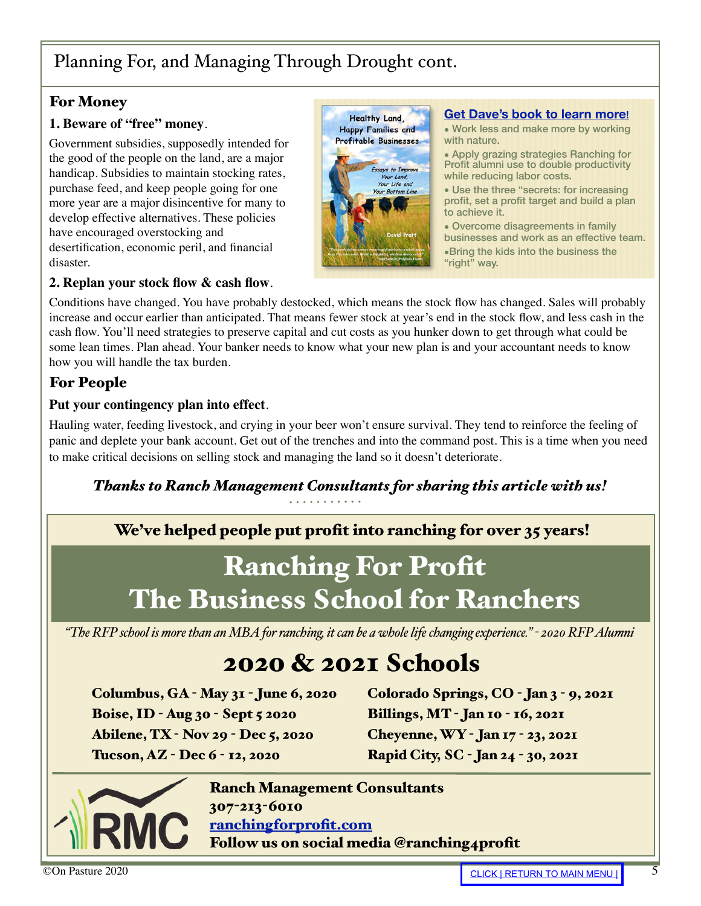## Planning For, and Managing Through Drought cont.

### For Money

### **1. Beware of "free" money**.

Government subsidies, supposedly intended for the good of the people on the land, are a major handicap. Subsidies to maintain stocking rates, purchase feed, and keep people going for one more year are a major disincentive for many to develop effective alternatives. These policies have encouraged overstocking and desertification, economic peril, and financial disaster.

#### **2. Replan your stock flow & cash flow**.

**Healthy Land, Happy Families and Profitable Businesses Essays to Improve** Your Land Your Life and<br>our Bottom Line

#### **[Get Dave's book to learn more](https://ranchmanagement.com/product/healthy-land-happy-families-and-profitable-businesses/)**!

• Work less and make more by working with nature.

• Apply grazing strategies Ranching for Profit alumni use to double productivity while reducing labor costs.

• Use the three "secrets: for increasing profit, set a profit target and build a plan to achieve it.

• Overcome disagreements in family businesses and work as an effective team. •Bring the kids into the business the "right" way.

Conditions have changed. You have probably destocked, which means the stock flow has changed. Sales will probably increase and occur earlier than anticipated. That means fewer stock at year's end in the stock flow, and less cash in the cash flow. You'll need strategies to preserve capital and cut costs as you hunker down to get through what could be some lean times. Plan ahead. Your banker needs to know what your new plan is and your accountant needs to know how you will handle the tax burden.

### For People

### **Put your contingency plan into effect**.

Hauling water, feeding livestock, and crying in your beer won't ensure survival. They tend to reinforce the feeling of panic and deplete your bank account. Get out of the trenches and into the command post. This is a time when you need to make critical decisions on selling stock and managing the land so it doesn't deteriorate.

*Thanks to Ranch Management Consultants for sharing this article with us!*

We've helped people put profit into ranching for over 35 years!

# Ranching For Profit The Business School for Ranchers

*"The RFP school is more than an MBA for ranching, it can be a whole life changing experience." - 2020 RFP Alumni*

# 2020 & 2021 Schools

Columbus, GA - May 31 - June 6, 2020 Boise, ID - Aug 30 - Sept 5 2020 Abilene, TX - Nov 29 - Dec 5, 2020 Tucson, AZ - Dec 6 - 12, 2020

Colorado Springs, CO - Jan 3 - 9, 2021 Billings, MT - Jan 10 - 16, 2021 Cheyenne, WY - Jan 17 - 23, 2021 Rapid City, SC - Jan 24 - 30, 2021



Ranch Management Consultants 307-213-6010 [ranchingforprofit.com](https://ranchmanagement.com/) Follow us on social media @ranching4profit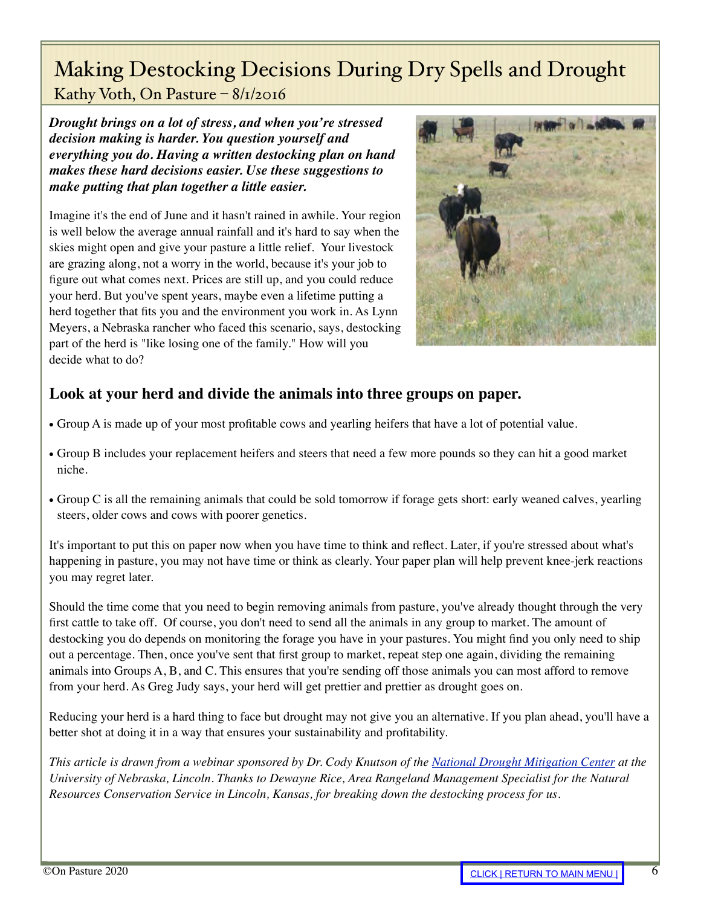# <span id="page-5-0"></span>Making Destocking Decisions During Dry Spells and Drought

Kathy Voth, On Pasture – 8/1/2016

*Drought brings on a lot of stress, and when you're stressed decision making is harder. You question yourself and everything you do. Having a written destocking plan on hand makes these hard decisions easier. Use these suggestions to make putting that plan together a little easier.*

Imagine it's the end of June and it hasn't rained in awhile. Your region is well below the average annual rainfall and it's hard to say when the skies might open and give your pasture a little relief. Your livestock are grazing along, not a worry in the world, because it's your job to figure out what comes next. Prices are still up, and you could reduce your herd. But you've spent years, maybe even a lifetime putting a herd together that fits you and the environment you work in. As Lynn Meyers, a Nebraska rancher who faced this scenario, says, destocking part of the herd is "like losing one of the family." How will you decide what to do?



### **Look at your herd and divide the animals into three groups on paper.**

- Group A is made up of your most profitable cows and yearling heifers that have a lot of potential value.
- Group B includes your replacement heifers and steers that need a few more pounds so they can hit a good market niche.
- Group C is all the remaining animals that could be sold tomorrow if forage gets short: early weaned calves, yearling steers, older cows and cows with poorer genetics.

It's important to put this on paper now when you have time to think and reflect. Later, if you're stressed about what's happening in pasture, you may not have time or think as clearly. Your paper plan will help prevent knee-jerk reactions you may regret later.

Should the time come that you need to begin removing animals from pasture, you've already thought through the very first cattle to take off. Of course, you don't need to send all the animals in any group to market. The amount of destocking you do depends on monitoring the forage you have in your pastures. You might find you only need to ship out a percentage. Then, once you've sent that first group to market, repeat step one again, dividing the remaining animals into Groups A, B, and C. This ensures that you're sending off those animals you can most afford to remove from your herd. As Greg Judy says, your herd will get prettier and prettier as drought goes on.

Reducing your herd is a hard thing to face but drought may not give you an alternative. If you plan ahead, you'll have a better shot at doing it in a way that ensures your sustainability and profitability.

*This article is drawn from a webinar sponsored by Dr. Cody Knutson of the [National Drought Mitigation Center](https://drought.unl.edu/) at the University of Nebraska, Lincoln. Thanks to Dewayne Rice, Area Rangeland Management Specialist for the Natural Resources Conservation Service in Lincoln, Kansas, for breaking down the destocking process for us.*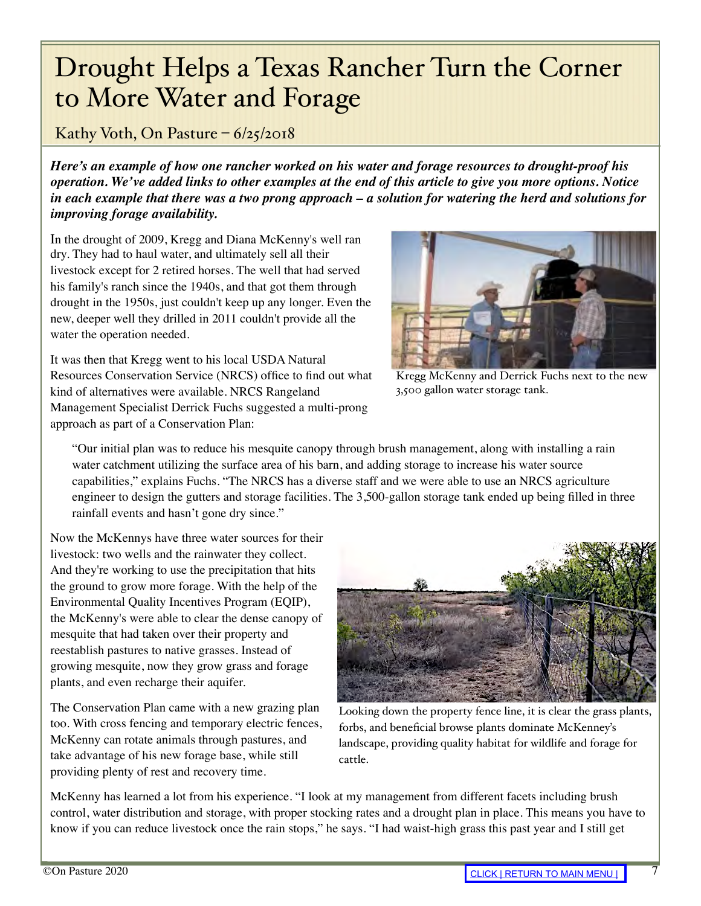# <span id="page-6-0"></span>Drought Helps a Texas Rancher Turn the Corner to More Water and Forage

Kathy Voth, On Pasture  $-6/25/2018$ 

*Here's an example of how one rancher worked on his water and forage resources to drought-proof his operation. We've added links to other examples at the end of this article to give you more options. Notice in each example that there was a two prong approach – a solution for watering the herd and solutions for improving forage availability.*

In the drought of 2009, Kregg and Diana McKenny's well ran dry. They had to haul water, and ultimately sell all their livestock except for 2 retired horses. The well that had served his family's ranch since the 1940s, and that got them through drought in the 1950s, just couldn't keep up any longer. Even the new, deeper well they drilled in 2011 couldn't provide all the water the operation needed.

It was then that Kregg went to his local USDA Natural Resources Conservation Service (NRCS) office to find out what kind of alternatives were available. NRCS Rangeland Management Specialist Derrick Fuchs suggested a multi-prong approach as part of a Conservation Plan:



Kregg McKenny and Derrick Fuchs next to the new 3,500 gallon water storage tank.

"Our initial plan was to reduce his mesquite canopy through brush management, along with installing a rain water catchment utilizing the surface area of his barn, and adding storage to increase his water source capabilities," explains Fuchs. "The NRCS has a diverse staff and we were able to use an NRCS agriculture engineer to design the gutters and storage facilities. The 3,500-gallon storage tank ended up being filled in three rainfall events and hasn't gone dry since."

Now the McKennys have three water sources for their livestock: two wells and the rainwater they collect. And they're working to use the precipitation that hits the ground to grow more forage. With the help of the Environmental Quality Incentives Program (EQIP), the McKenny's were able to clear the dense canopy of mesquite that had taken over their property and reestablish pastures to native grasses. Instead of growing mesquite, now they grow grass and forage plants, and even recharge their aquifer.

The Conservation Plan came with a new grazing plan too. With cross fencing and temporary electric fences, McKenny can rotate animals through pastures, and take advantage of his new forage base, while still providing plenty of rest and recovery time.



Looking down the property fence line, it is clear the grass plants, forbs, and beneficial browse plants dominate McKenney's landscape, providing quality habitat for wildlife and forage for cattle.

McKenny has learned a lot from his experience. "I look at my management from different facets including brush control, water distribution and storage, with proper stocking rates and a drought plan in place. This means you have to know if you can reduce livestock once the rain stops," he says. "I had waist-high grass this past year and I still get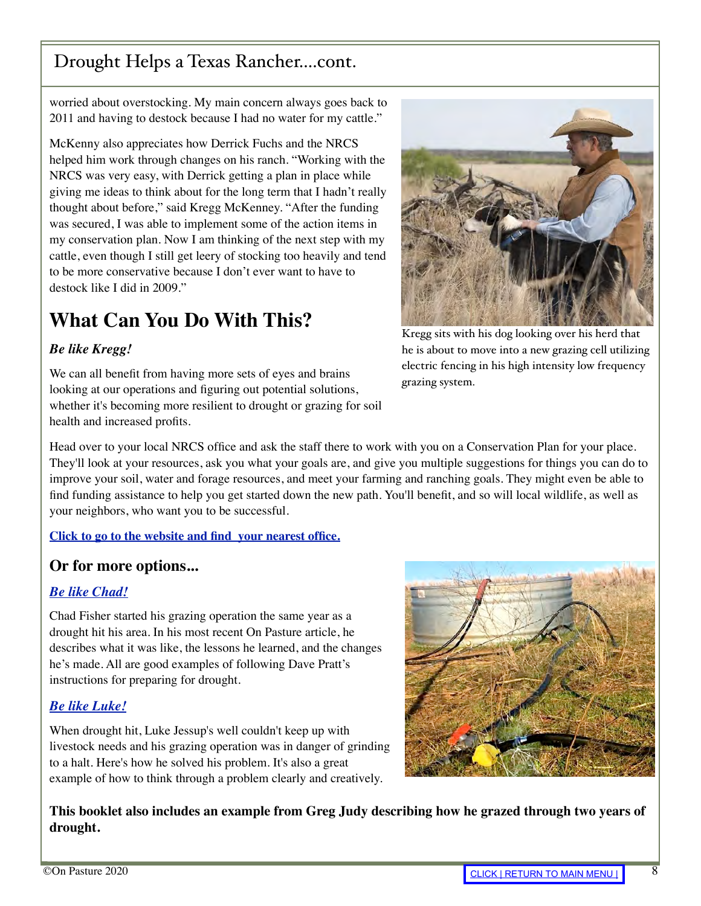# Drought Helps a Texas Rancher....cont.

worried about overstocking. My main concern always goes back to 2011 and having to destock because I had no water for my cattle."

McKenny also appreciates how Derrick Fuchs and the NRCS helped him work through changes on his ranch. "Working with the NRCS was very easy, with Derrick getting a plan in place while giving me ideas to think about for the long term that I hadn't really thought about before," said Kregg McKenney. "After the funding was secured, I was able to implement some of the action items in my conservation plan. Now I am thinking of the next step with my cattle, even though I still get leery of stocking too heavily and tend to be more conservative because I don't ever want to have to destock like I did in 2009."

# **What Can You Do With This?**

### *Be like Kregg!*

We can all benefit from having more sets of eyes and brains looking at our operations and figuring out potential solutions, whether it's becoming more resilient to drought or grazing for soil health and increased profits.



Kregg sits with his dog looking over his herd that he is about to move into a new grazing cell utilizing electric fencing in his high intensity low frequency grazing system.

Head over to your local NRCS office and ask the staff there to work with you on a Conservation Plan for your place. They'll look at your resources, ask you what your goals are, and give you multiple suggestions for things you can do to improve your soil, water and forage resources, and meet your farming and ranching goals. They might even be able to find funding assistance to help you get started down the new path. You'll benefit, and so will local wildlife, as well as your neighbors, who want you to be successful.

### **[Click to go to the website and find your nearest office.](https://offices.sc.egov.usda.gov/locator/app?agency=nrcs)**

### **Or for more options...**

### *[Be like Chad!](https://onpasture.com/2020/04/27/adapting-to-drought-lessons-that-lead-to-success/)*

Chad Fisher started his grazing operation the same year as a drought hit his area. In his most recent On Pasture article, he describes what it was like, the lessons he learned, and the changes he's made. All are good examples of following Dave Pratt's instructions for preparing for drought.

### *[Be like Luke!](https://onpasture.com/2020/03/30/i-couldnt-see-the-forest-or-the-water-for-the-trees/)*

When drought hit, Luke Jessup's well couldn't keep up with livestock needs and his grazing operation was in danger of grinding to a halt. Here's how he solved his problem. It's also a great example of how to think through a problem clearly and creatively.



**This booklet also includes an example from Greg Judy describing how he grazed through two years of drought.**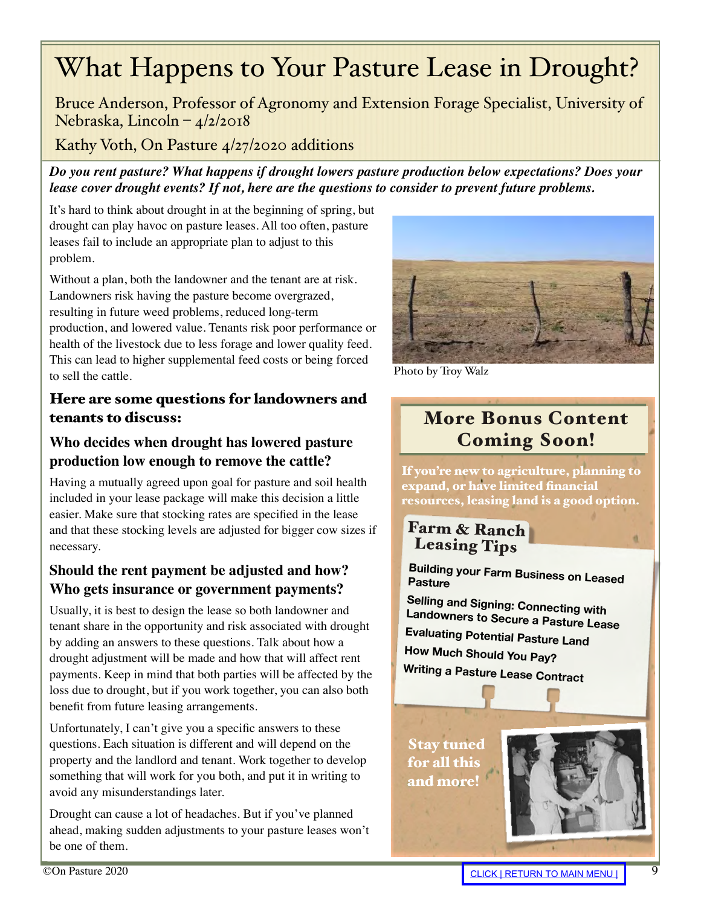# <span id="page-8-0"></span>What Happens to Your Pasture Lease in Drought?

Bruce Anderson, Professor of Agronomy and Extension Forage Specialist, University of Nebraska, Lincoln – 4/2/2018

Kathy Voth, On Pasture 4/27/2020 additions

*Do you rent pasture? What happens if drought lowers pasture production below expectations? Does your lease cover drought events? If not, here are the questions to consider to prevent future problems.* 

It's hard to think about drought in at the beginning of spring, but drought can play havoc on pasture leases. All too often, pasture leases fail to include an appropriate plan to adjust to this problem.

Without a plan, both the landowner and the tenant are at risk. Landowners risk having the pasture become overgrazed, resulting in future weed problems, reduced long-term production, and lowered value. Tenants risk poor performance or health of the livestock due to less forage and lower quality feed. This can lead to higher supplemental feed costs or being forced to sell the cattle.

### Here are some questions for landowners and tenants to discuss:

### **Who decides when drought has lowered pasture production low enough to remove the cattle?**

Having a mutually agreed upon goal for pasture and soil health included in your lease package will make this decision a little easier. Make sure that stocking rates are specified in the lease and that these stocking levels are adjusted for bigger cow sizes if necessary.

### **Should the rent payment be adjusted and how? Who gets insurance or government payments?**

Usually, it is best to design the lease so both landowner and tenant share in the opportunity and risk associated with drought by adding an answers to these questions. Talk about how a drought adjustment will be made and how that will affect rent payments. Keep in mind that both parties will be affected by the loss due to drought, but if you work together, you can also both benefit from future leasing arrangements.

Unfortunately, I can't give you a specific answers to these questions. Each situation is different and will depend on the property and the landlord and tenant. Work together to develop something that will work for you both, and put it in writing to avoid any misunderstandings later.

Drought can cause a lot of headaches. But if you've planned ahead, making sudden adjustments to your pasture leases won't be one of them.



Photo by Troy Walz

## More Bonus Content Coming Soon!

If you're new to agriculture, planning to expand, or have limited financial resources, leasing land is a good option.

Farm & Ranch Leasing Tips

**Building your Farm Business on Leased Pasture**

**Selling and Signing: Connecting with Landowners to Secure a Pasture Lease Evaluating Potential Pasture Land How Much Should You Pay? Writing a Pasture Lease Contract**

Stay tuned for all this and more!



a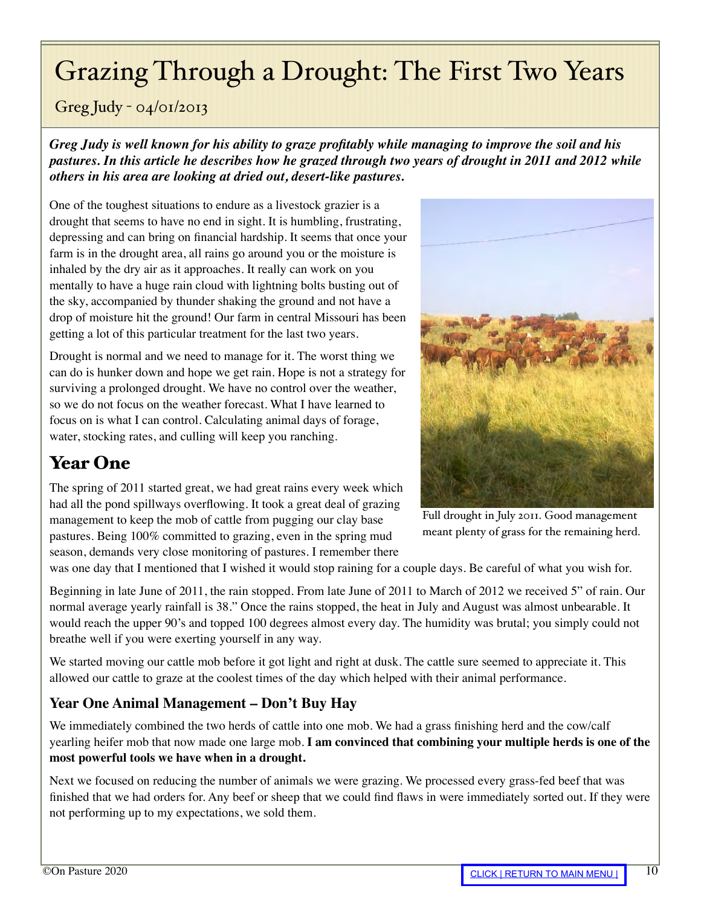# <span id="page-9-0"></span>Grazing Through a Drought: The First Two Years

### Greg Judy - 04/01/2013

*Greg Judy is well known for his ability to graze profitably while managing to improve the soil and his pastures. In this article he describes how he grazed through two years of drought in 2011 and 2012 while others in his area are looking at dried out, desert-like pastures.*

One of the toughest situations to endure as a livestock grazier is a drought that seems to have no end in sight. It is humbling, frustrating, depressing and can bring on financial hardship. It seems that once your farm is in the drought area, all rains go around you or the moisture is inhaled by the dry air as it approaches. It really can work on you mentally to have a huge rain cloud with lightning bolts busting out of the sky, accompanied by thunder shaking the ground and not have a drop of moisture hit the ground! Our farm in central Missouri has been getting a lot of this particular treatment for the last two years.

Drought is normal and we need to manage for it. The worst thing we can do is hunker down and hope we get rain. Hope is not a strategy for surviving a prolonged drought. We have no control over the weather, so we do not focus on the weather forecast. What I have learned to focus on is what I can control. Calculating animal days of forage, water, stocking rates, and culling will keep you ranching.

# Year One

The spring of 2011 started great, we had great rains every week which had all the pond spillways overflowing. It took a great deal of grazing management to keep the mob of cattle from pugging our clay base pastures. Being 100% committed to grazing, even in the spring mud season, demands very close monitoring of pastures. I remember there



Full drought in July 2011. Good management meant plenty of grass for the remaining herd.

was one day that I mentioned that I wished it would stop raining for a couple days. Be careful of what you wish for.

Beginning in late June of 2011, the rain stopped. From late June of 2011 to March of 2012 we received 5" of rain. Our normal average yearly rainfall is 38." Once the rains stopped, the heat in July and August was almost unbearable. It would reach the upper 90's and topped 100 degrees almost every day. The humidity was brutal; you simply could not breathe well if you were exerting yourself in any way.

We started moving our cattle mob before it got light and right at dusk. The cattle sure seemed to appreciate it. This allowed our cattle to graze at the coolest times of the day which helped with their animal performance.

### **Year One Animal Management – Don't Buy Hay**

We immediately combined the two herds of cattle into one mob. We had a grass finishing herd and the cow/calf yearling heifer mob that now made one large mob. **I am convinced that combining your multiple herds is one of the most powerful tools we have when in a drought.**

Next we focused on reducing the number of animals we were grazing. We processed every grass-fed beef that was finished that we had orders for. Any beef or sheep that we could find flaws in were immediately sorted out. If they were not performing up to my expectations, we sold them.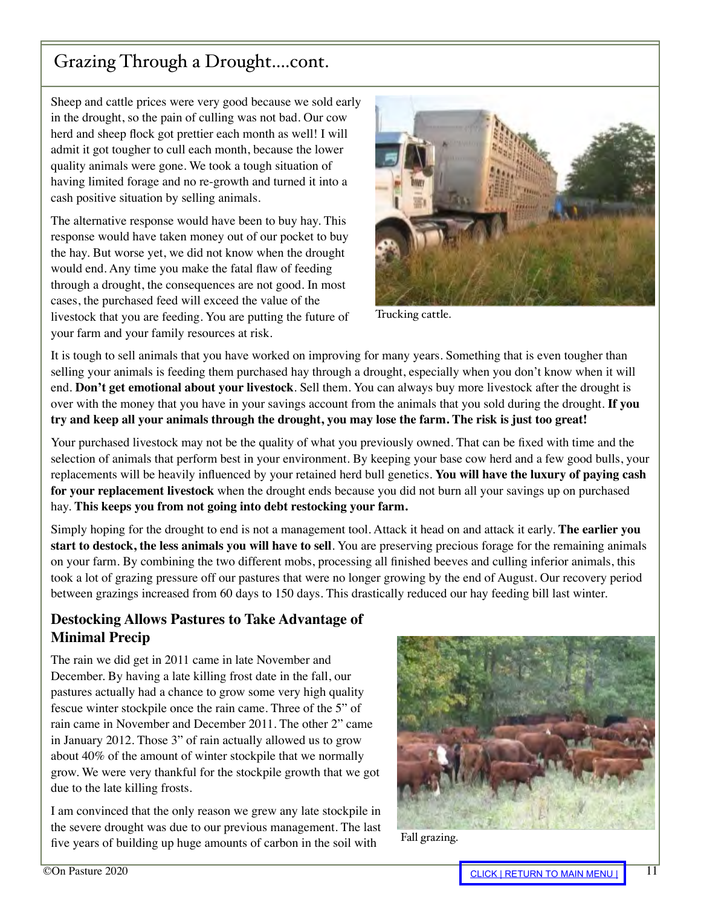## Grazing Through a Drought....cont.

Sheep and cattle prices were very good because we sold early in the drought, so the pain of culling was not bad. Our cow herd and sheep flock got prettier each month as well! I will admit it got tougher to cull each month, because the lower quality animals were gone. We took a tough situation of having limited forage and no re-growth and turned it into a cash positive situation by selling animals.

The alternative response would have been to buy hay. This response would have taken money out of our pocket to buy the hay. But worse yet, we did not know when the drought would end. Any time you make the fatal flaw of feeding through a drought, the consequences are not good. In most cases, the purchased feed will exceed the value of the livestock that you are feeding. You are putting the future of your farm and your family resources at risk.



Trucking cattle.

It is tough to sell animals that you have worked on improving for many years. Something that is even tougher than selling your animals is feeding them purchased hay through a drought, especially when you don't know when it will end. **Don't get emotional about your livestock**. Sell them. You can always buy more livestock after the drought is over with the money that you have in your savings account from the animals that you sold during the drought. **If you try and keep all your animals through the drought, you may lose the farm. The risk is just too great!**

Your purchased livestock may not be the quality of what you previously owned. That can be fixed with time and the selection of animals that perform best in your environment. By keeping your base cow herd and a few good bulls, your replacements will be heavily influenced by your retained herd bull genetics. **You will have the luxury of paying cash for your replacement livestock** when the drought ends because you did not burn all your savings up on purchased hay. **This keeps you from not going into debt restocking your farm.**

Simply hoping for the drought to end is not a management tool. Attack it head on and attack it early. **The earlier you start to destock, the less animals you will have to sell**. You are preserving precious forage for the remaining animals on your farm. By combining the two different mobs, processing all finished beeves and culling inferior animals, this took a lot of grazing pressure off our pastures that were no longer growing by the end of August. Our recovery period between grazings increased from 60 days to 150 days. This drastically reduced our hay feeding bill last winter.

### **Destocking Allows Pastures to Take Advantage of Minimal Precip**

The rain we did get in 2011 came in late November and December. By having a late killing frost date in the fall, our pastures actually had a chance to grow some very high quality fescue winter stockpile once the rain came. Three of the 5" of rain came in November and December 2011. The other 2" came in January 2012. Those 3" of rain actually allowed us to grow about 40% of the amount of winter stockpile that we normally grow. We were very thankful for the stockpile growth that we got due to the late killing frosts.

I am convinced that the only reason we grew any late stockpile in the severe drought was due to our previous management. The last five years of building up huge amounts of carbon in the soil with



Fall grazing.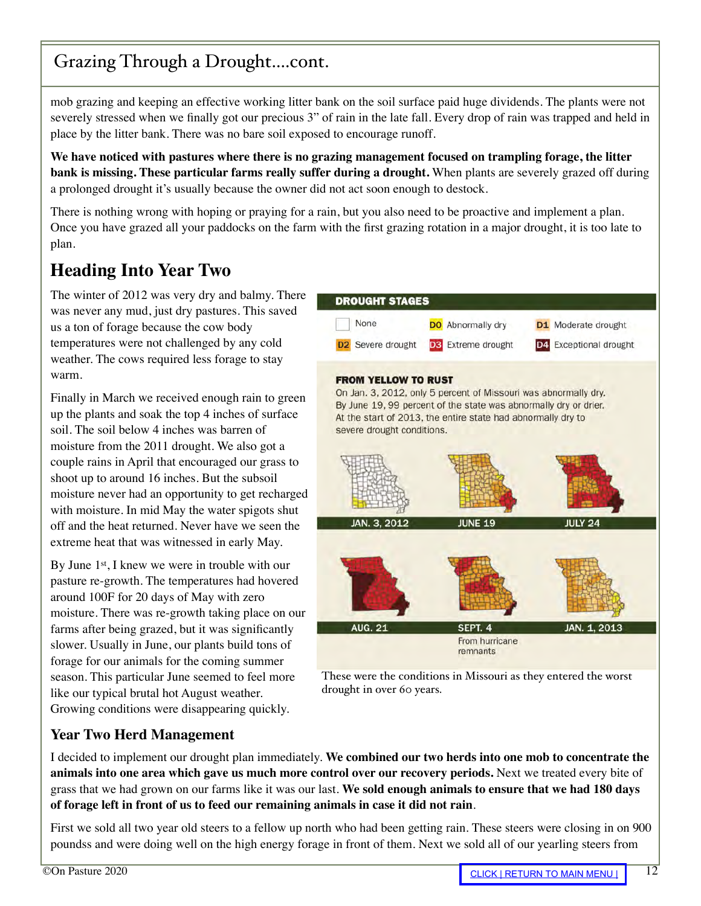## Grazing Through a Drought....cont.

mob grazing and keeping an effective working litter bank on the soil surface paid huge dividends. The plants were not severely stressed when we finally got our precious 3" of rain in the late fall. Every drop of rain was trapped and held in place by the litter bank. There was no bare soil exposed to encourage runoff.

**We have noticed with pastures where there is no grazing management focused on trampling forage, the litter bank is missing. These particular farms really suffer during a drought.** When plants are severely grazed off during a prolonged drought it's usually because the owner did not act soon enough to destock.

There is nothing wrong with hoping or praying for a rain, but you also need to be proactive and implement a plan. Once you have grazed all your paddocks on the farm with the first grazing rotation in a major drought, it is too late to plan.

## **Heading Into Year Two**

The winter of 2012 was very dry and balmy. There was never any mud, just dry pastures. This saved us a ton of forage because the cow body temperatures were not challenged by any cold weather. The cows required less forage to stay warm.

Finally in March we received enough rain to green up the plants and soak the top 4 inches of surface soil. The soil below 4 inches was barren of moisture from the 2011 drought. We also got a couple rains in April that encouraged our grass to shoot up to around 16 inches. But the subsoil moisture never had an opportunity to get recharged with moisture. In mid May the water spigots shut off and the heat returned. Never have we seen the extreme heat that was witnessed in early May.

By June 1<sup>st</sup>, I knew we were in trouble with our pasture re-growth. The temperatures had hovered around 100F for 20 days of May with zero moisture. There was re-growth taking place on our farms after being grazed, but it was significantly slower. Usually in June, our plants build tons of forage for our animals for the coming summer season. This particular June seemed to feel more like our typical brutal hot August weather. Growing conditions were disappearing quickly.



These were the conditions in Missouri as they entered the worst drought in over 60 years.

### **Year Two Herd Management**

I decided to implement our drought plan immediately. **We combined our two herds into one mob to concentrate the animals into one area which gave us much more control over our recovery periods.** Next we treated every bite of grass that we had grown on our farms like it was our last. **We sold enough animals to ensure that we had 180 days of forage left in front of us to feed our remaining animals in case it did not rain**.

First we sold all two year old steers to a fellow up north who had been getting rain. These steers were closing in on 900 poundss and were doing well on the high energy forage in front of them. Next we sold all of our yearling steers from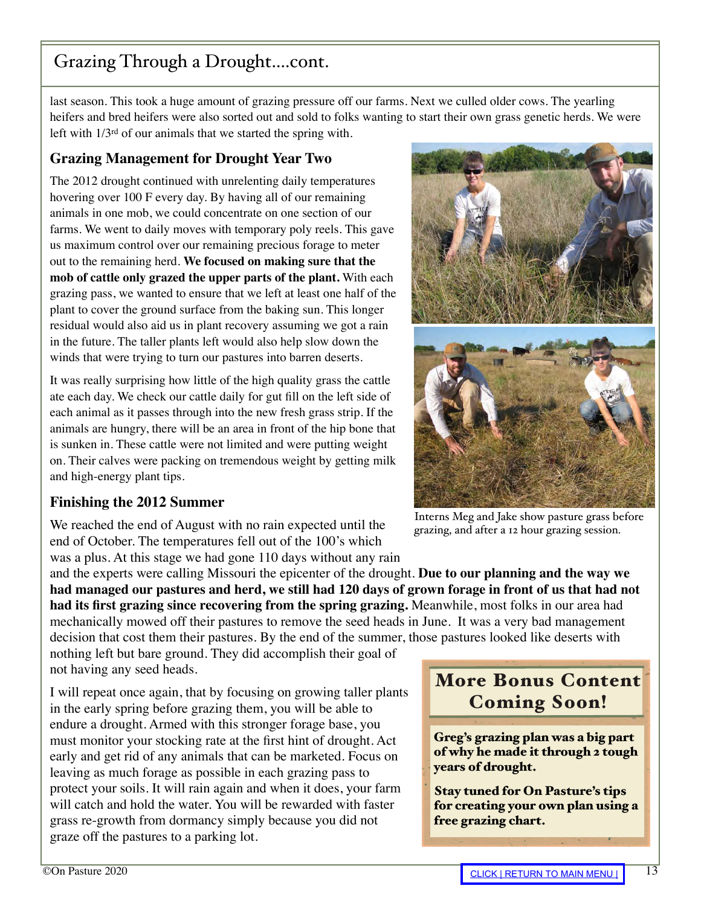# Grazing Through a Drought....cont.

last season. This took a huge amount of grazing pressure off our farms. Next we culled older cows. The yearling heifers and bred heifers were also sorted out and sold to folks wanting to start their own grass genetic herds. We were left with 1/3rd of our animals that we started the spring with.

### **Grazing Management for Drought Year Two**

The 2012 drought continued with unrelenting daily temperatures hovering over 100 F every day. By having all of our remaining animals in one mob, we could concentrate on one section of our farms. We went to daily moves with temporary poly reels. This gave us maximum control over our remaining precious forage to meter out to the remaining herd. **We focused on making sure that the mob of cattle only grazed the upper parts of the plant.** With each grazing pass, we wanted to ensure that we left at least one half of the plant to cover the ground surface from the baking sun. This longer residual would also aid us in plant recovery assuming we got a rain in the future. The taller plants left would also help slow down the winds that were trying to turn our pastures into barren deserts.

It was really surprising how little of the high quality grass the cattle ate each day. We check our cattle daily for gut fill on the left side of each animal as it passes through into the new fresh grass strip. If the animals are hungry, there will be an area in front of the hip bone that is sunken in. These cattle were not limited and were putting weight on. Their calves were packing on tremendous weight by getting milk and high-energy plant tips.

### **Finishing the 2012 Summer**

We reached the end of August with no rain expected until the end of October. The temperatures fell out of the 100's which was a plus. At this stage we had gone 110 days without any rain

and the experts were calling Missouri the epicenter of the drought. **Due to our planning and the way we had managed our pastures and herd, we still had 120 days of grown forage in front of us that had not had its first grazing since recovering from the spring grazing.** Meanwhile, most folks in our area had mechanically mowed off their pastures to remove the seed heads in June. It was a very bad management decision that cost them their pastures. By the end of the summer, those pastures looked like deserts with

nothing left but bare ground. They did accomplish their goal of not having any seed heads.

I will repeat once again, that by focusing on growing taller plants in the early spring before grazing them, you will be able to endure a drought. Armed with this stronger forage base, you must monitor your stocking rate at the first hint of drought. Act early and get rid of any animals that can be marketed. Focus on leaving as much forage as possible in each grazing pass to protect your soils. It will rain again and when it does, your farm will catch and hold the water. You will be rewarded with faster grass re-growth from dormancy simply because you did not graze off the pastures to a parking lot.

Interns Meg and Jake show pasture grass before grazing, and after a 12 hour grazing session.

More Bonus Content Coming Soon!

Greg's grazing plan was a big part of why he made it through 2 tough years of drought.

Stay tuned for On Pasture's tips for creating your own plan using a free grazing chart.

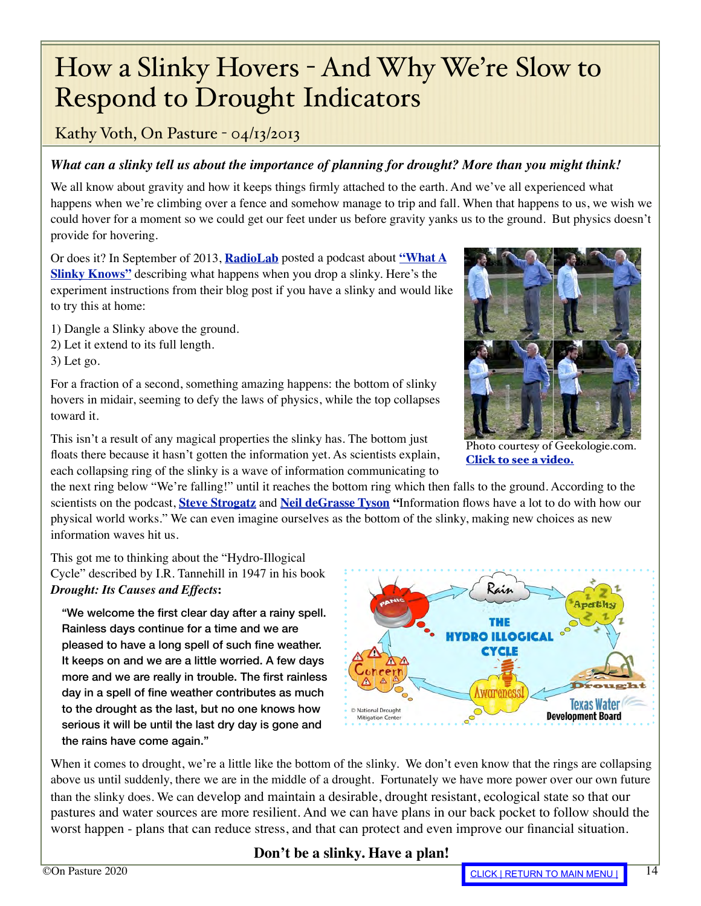# <span id="page-13-0"></span>How a Slinky Hovers - And Why We're Slow to Respond to Drought Indicators

### Kathy Voth, On Pasture - 04/13/2013

### *What can a slinky tell us about the importance of planning for drought? More than you might think!*

We all know about gravity and how it keeps things firmly attached to the earth. And we've all experienced what happens when we're climbing over a fence and somehow manage to trip and fall. When that happens to us, we wish we could hover for a moment so we could get our feet under us before gravity yanks us to the ground. But physics doesn't provide for hovering.

Or does it? In September of 2013, **[RadioLab](http://www.radiolab.org/about/)** posted a podcast about **["What A](https://www.wnycstudios.org/podcasts/radiolab/articles/236351-what-slinky-knows)  [Slinky Knows"](https://www.wnycstudios.org/podcasts/radiolab/articles/236351-what-slinky-knows)** describing what happens when you drop a slinky. Here's the experiment instructions from their blog post if you have a slinky and would like to try this at home:

- 1) Dangle a Slinky above the ground.
- 2) Let it extend to its full length.

3) Let go.

For a fraction of a second, something amazing happens: the bottom of slinky hovers in midair, seeming to defy the laws of physics, while the top collapses toward it.

Photo courtesy of Geekologie.com. [Click to see a video.](https://geekologie.com/2011/09/tension-vs-gravity-slomotion-streteched.php)

This isn't a result of any magical properties the slinky has. The bottom just floats there because it hasn't gotten the information yet. As scientists explain, each collapsing ring of the slinky is a wave of information communicating to

the next ring below "We're falling!" until it reaches the bottom ring which then falls to the ground. According to the scientists on the podcast, **[Steve Strogatz](http://www.stevenstrogatz.com/)** and **[Neil deGrasse Tyson](http://www.haydenplanetarium.org/tyson/) "**Information flows have a lot to do with how our physical world works." We can even imagine ourselves as the bottom of the slinky, making new choices as new information waves hit us.

This got me to thinking about the "Hydro-Illogical Cycle" described by I.R. Tannehill in 1947 in his book *Drought: Its Causes and Effects***:**

"We welcome the first clear day after a rainy spell. Rainless days continue for a time and we are pleased to have a long spell of such fine weather. It keeps on and we are a little worried. A few days more and we are really in trouble. The first rainless day in a spell of fine weather contributes as much to the drought as the last, but no one knows how serious it will be until the last dry day is gone and the rains have come again."



When it comes to drought, we're a little like the bottom of the slinky. We don't even know that the rings are collapsing above us until suddenly, there we are in the middle of a drought. Fortunately we have more power over our own future than the slinky does. We can develop and maintain a desirable, drought resistant, ecological state so that our pastures and water sources are more resilient. And we can have plans in our back pocket to follow should the worst happen - plans that can reduce stress, and that can protect and even improve our financial situation.

### **Don't be a slinky. Have a plan!**